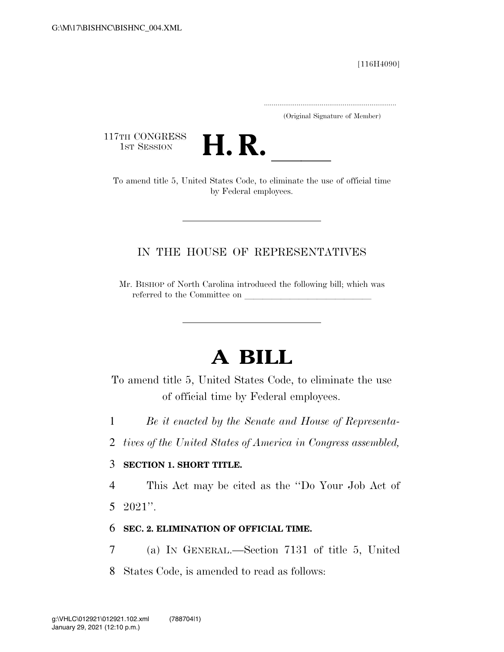[116H4090]

.....................................................................

(Original Signature of Member)

117TH CONGRESS<br>1st Session



TTH CONGRESS<br>1st SESSION **H. R.** <u>Inited States Code</u>, to eliminate the use of official time by Federal employees.

## IN THE HOUSE OF REPRESENTATIVES

Mr. BISHOP of North Carolina introduced the following bill; which was referred to the Committee on

# **A BILL**

To amend title 5, United States Code, to eliminate the use of official time by Federal employees.

- 1 *Be it enacted by the Senate and House of Representa-*
- 2 *tives of the United States of America in Congress assembled,*

#### 3 **SECTION 1. SHORT TITLE.**

4 This Act may be cited as the ''Do Your Job Act of

5 2021''.

### 6 **SEC. 2. ELIMINATION OF OFFICIAL TIME.**

- 7 (a) IN GENERAL.—Section 7131 of title 5, United
- 8 States Code, is amended to read as follows: